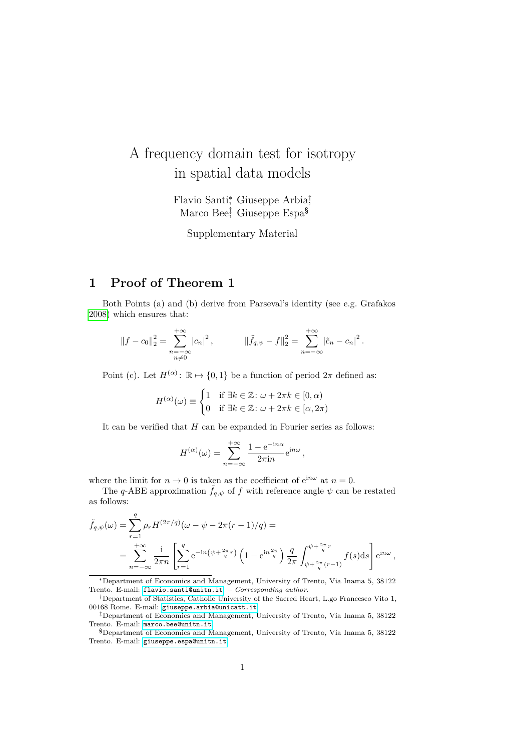## A frequency domain test for isotropy in spatial data models

Flavio Santi<sup>∗</sup> , Giuseppe Arbia† , Marco Bee‡ , Giuseppe Espa§

Supplementary Material

## **1 Proof of Theorem 1**

Both Points (a) and (b) derive from Parseval's identity (see e.g. Grafakos [2008\)](#page-3-0) which ensures that:

$$
||f - c_0||_2^2 = \sum_{\substack{n = -\infty \\ n \neq 0}}^{+\infty} |c_n|^2, \qquad ||\tilde{f}_{q,\psi} - f||_2^2 = \sum_{n = -\infty}^{+\infty} |\tilde{c}_n - c_n|^2.
$$

Point (c). Let  $H^{(\alpha)}: \mathbb{R} \mapsto \{0,1\}$  be a function of period  $2\pi$  defined as:

$$
H^{(\alpha)}(\omega) \equiv \begin{cases} 1 & \text{if } \exists k \in \mathbb{Z} \colon \omega + 2\pi k \in [0, \alpha) \\ 0 & \text{if } \exists k \in \mathbb{Z} \colon \omega + 2\pi k \in [\alpha, 2\pi) \end{cases}
$$

It can be verified that *H* can be expanded in Fourier series as follows:

$$
H^{(\alpha)}(\omega) = \sum_{n=-\infty}^{+\infty} \frac{1 - e^{-in\alpha}}{2\pi i n} e^{in\omega},
$$

where the limit for  $n \to 0$  is taken as the coefficient of  $e^{in\omega}$  at  $n = 0$ .

The *q*-ABE approximation  $\tilde{f}_{q,\psi}$  of *f* with reference angle  $\psi$  can be restated as follows:

$$
\tilde{f}_{q,\psi}(\omega) = \sum_{r=1}^{q} \rho_r H^{(2\pi/q)}(\omega - \psi - 2\pi (r-1)/q) =
$$
\n
$$
= \sum_{n=-\infty}^{+\infty} \frac{1}{2\pi n} \left[ \sum_{r=1}^{q} e^{-in(\psi + \frac{2\pi}{q}r)} \left( 1 - e^{in\frac{2\pi}{q}} \right) \frac{q}{2\pi} \int_{\psi + \frac{2\pi}{q}(r-1)}^{\psi + \frac{2\pi}{q}r} f(s) ds \right] e^{in\omega},
$$

<sup>∗</sup>Department of Economics and Management, University of Trento, Via Inama 5, 38122 Trento. E-mail: [flavio.santi@unitn.it](mailto:flavio.santi@unitn.it). – *Corresponding author*.

<sup>†</sup>Department of Statistics, Catholic University of the Sacred Heart, L.go Francesco Vito 1, 00168 Rome. E-mail: [giuseppe.arbia@unicatt.it](mailto:giuseppe.arbia@rm.unicatt.it).

<sup>‡</sup>Department of Economics and Management, University of Trento, Via Inama 5, 38122 Trento. E-mail: [marco.bee@unitn.it](mailto:marco.bee@unitn.it).

<sup>§</sup>Department of Economics and Management, University of Trento, Via Inama 5, 38122 Trento. E-mail: [giuseppe.espa@unitn.it](mailto:giuseppe.espa@unitn.it).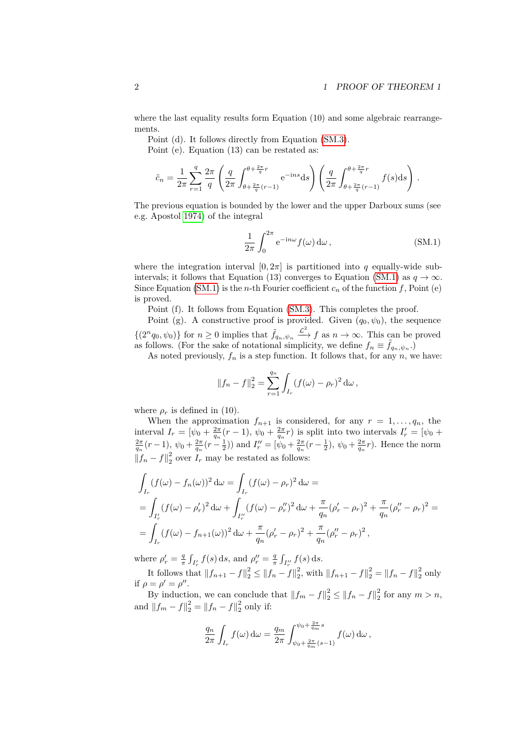where the last equality results form Equation (10) and some algebraic rearrangements.

Point (d). It follows directly from Equation [\(SM.3\)](#page-2-0).

Point (e). Equation (13) can be restated as:

$$
\tilde{c}_n = \frac{1}{2\pi} \sum_{r=1}^q \frac{2\pi}{q} \left( \frac{q}{2\pi} \int_{\theta + \frac{2\pi}{q}(r-1)}^{\theta + \frac{2\pi}{q}r} e^{-ins} ds \right) \left( \frac{q}{2\pi} \int_{\theta + \frac{2\pi}{q}(r-1)}^{\theta + \frac{2\pi}{q}r} f(s) ds \right).
$$

The previous equation is bounded by the lower and the upper Darboux sums (see e.g. Apostol [1974\)](#page-3-1) of the integral

<span id="page-1-0"></span>
$$
\frac{1}{2\pi} \int_0^{2\pi} e^{-in\omega} f(\omega) d\omega, \qquad (SM.1)
$$

where the integration interval  $[0, 2\pi]$  is partitioned into *q* equally-wide sub-intervals; it follows that Equation (13) converges to Equation [\(SM.1\)](#page-1-0) as  $q \to \infty$ . Since Equation [\(SM.1\)](#page-1-0) is the *n*-th Fourier coefficient  $c_n$  of the function f, Point (e) is proved.

Point (f). It follows from Equation [\(SM.3\)](#page-2-0). This completes the proof.

Point (g). A constructive proof is provided. Given  $(q_0, \psi_0)$ , the sequence  $\{(2^n q_0, \psi_0)\}\$ for  $n \geq 0$  implies that  $\tilde{f}_{q_n, \psi_n} \stackrel{\mathcal{L}^2}{\longrightarrow} f$  as  $n \to \infty$ . This can be proved as follows. (For the sake of notational simplicity, we define  $f_n \equiv \tilde{f}_{q_n,\psi_n}$ .)

As noted previously,  $f_n$  is a step function. It follows that, for any  $n$ , we have:

$$
||f_n - f||_2^2 = \sum_{r=1}^{q_n} \int_{I_r} (f(\omega) - \rho_r)^2 d\omega,
$$

where  $\rho_r$  is defined in (10).

When the approximation  $f_{n+1}$  is considered, for any  $r = 1, \ldots, q_n$ , the interval  $I_r = [\psi_0 + \frac{2\pi}{q_n}(r-1), \psi_0 + \frac{2\pi}{q_n}r)$  is split into two intervals  $I'_r = [\psi_0 + \frac{2\pi}{q_n}(r-1), \psi_0 + \frac{2\pi}{q_n}(r-\frac{1}{2}))$  and  $I''_r = [\psi_0 + \frac{2\pi}{q_n}(r-\frac{1}{2}), \psi_0 + \frac{2\pi}{q_n}r)$ . Hence the norm  $||f_n - f||_2^2$  over  $I_r$  may be restated as follows:

$$
\int_{I_r} (f(\omega) - f_n(\omega))^2 d\omega = \int_{I_r} (f(\omega) - \rho_r)^2 d\omega =
$$
\n
$$
= \int_{I'_r} (f(\omega) - \rho'_r)^2 d\omega + \int_{I''_r} (f(\omega) - \rho''_r)^2 d\omega + \frac{\pi}{q_n} (\rho'_r - \rho_r)^2 + \frac{\pi}{q_n} (\rho''_r - \rho_r)^2 =
$$
\n
$$
= \int_{I_r} (f(\omega) - f_{n+1}(\omega))^2 d\omega + \frac{\pi}{q_n} (\rho'_r - \rho_r)^2 + \frac{\pi}{q_n} (\rho''_r - \rho_r)^2,
$$

where  $\rho'_{r} = \frac{q}{\pi} \int_{I'_{r}} f(s) \, ds$ , and  $\rho''_{r} = \frac{q}{\pi} \int_{I''_{r}} f(s) \, ds$ .

It follows that  $||f_{n+1} - f||_2^2 \le ||f_n - f||_2^2$ , with  $||f_{n+1} - f||_2^2 = ||f_n - f||_2^2$  only if  $\rho = \rho' = \rho''$ .

By induction, we can conclude that  $||f_m - f||_2^2 \le ||f_n - f||_2^2$  for any  $m > n$ , and  $||f_m - f||_2^2 = ||f_n - f||_2^2$  only if:

$$
\frac{q_n}{2\pi} \int_{I_r} f(\omega) d\omega = \frac{q_m}{2\pi} \int_{\psi_0 + \frac{2\pi}{q_m}(s-1)}^{\psi_0 + \frac{2\pi}{q_m}s} f(\omega) d\omega,
$$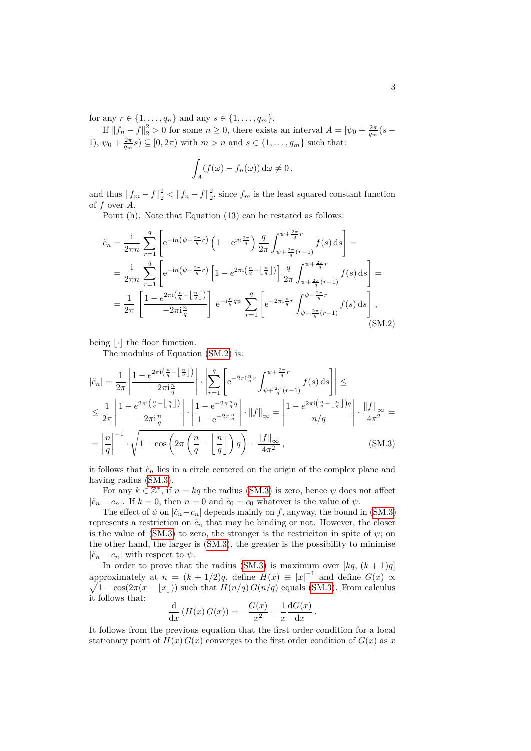for any  $r \in \{1, ..., q_n\}$  and any  $s \in \{1, ..., q_m\}$ .

If  $||f_n - f||_2^2 > 0$  for some  $n \ge 0$ , there exists an interval  $A = [\psi_0 + \frac{2\pi}{q_m}(s -$ 1),  $\psi_0 + \frac{2\pi}{q_m} s$   $\subseteq$   $[0, 2\pi)$  with  $m > n$  and  $s \in \{1, ..., q_m\}$  such that:

<span id="page-2-1"></span>
$$
\int_A (f(\omega) - f_n(\omega)) \, d\omega \neq 0,
$$

and thus  $||f_m - f||_2^2 < ||f_n - f||_2^2$ , since  $f_m$  is the least squared constant function of *f* over *A*.

Point (h). Note that Equation (13) can be restated as follows:

$$
\tilde{c}_{n} = \frac{\mathrm{i}}{2\pi n} \sum_{r=1}^{q} \left[ e^{-\mathrm{i}n\left(\psi + \frac{2\pi}{q}r\right)} \left(1 - e^{\mathrm{i}n\frac{2\pi}{q}}\right) \frac{q}{2\pi} \int_{\psi + \frac{2\pi}{q}(r-1)}^{\psi + \frac{2\pi}{q}r} f(s) \, \mathrm{d}s \right] =
$$
\n
$$
= \frac{\mathrm{i}}{2\pi n} \sum_{r=1}^{q} \left[ e^{-\mathrm{i}n\left(\psi + \frac{2\pi}{q}r\right)} \left[1 - e^{2\pi\mathrm{i}\left(\frac{n}{q} - \left\lfloor \frac{n}{q} \right\rfloor\right)} \right] \frac{q}{2\pi} \int_{\psi + \frac{2\pi}{q}(r-1)}^{\psi + \frac{2\pi}{q}r} f(s) \, \mathrm{d}s \right] =
$$
\n
$$
= \frac{1}{2\pi} \left[ \frac{1 - e^{2\pi\mathrm{i}\left(\frac{n}{q} - \left\lfloor \frac{n}{q} \right\rfloor\right)}}{-2\pi\mathrm{i}\frac{n}{q}} \right] e^{-\mathrm{i}\frac{n}{q}q\psi} \sum_{r=1}^{q} \left[ e^{-2\pi\mathrm{i}\frac{n}{q}r} \int_{\psi + \frac{2\pi}{q}(r-1)}^{\psi + \frac{2\pi}{q}r} f(s) \, \mathrm{d}s \right], \tag{SM.2}
$$

being  $|\cdot|$  the floor function.

The modulus of Equation [\(SM.2\)](#page-2-1) is:

$$
\left|\tilde{c}_{n}\right| = \frac{1}{2\pi} \left| \frac{1 - e^{2\pi i \left(\frac{n}{q} - \left\lfloor \frac{n}{q} \right\rfloor\right)}}{-2\pi i \frac{n}{q}}\right| \cdot \left| \sum_{r=1}^{q} \left[ e^{-2\pi i \frac{n}{q}r} \int_{\psi + \frac{2\pi}{q}\left(r-1\right)}^{\psi + \frac{2\pi}{q}r} f(s) \, ds \right] \right| \le
$$
  

$$
\leq \frac{1}{2\pi} \left| \frac{1 - e^{2\pi i \left(\frac{n}{q} - \left\lfloor \frac{n}{q} \right\rfloor\right)}}{-2\pi i \frac{n}{q}} \right| \cdot \left| \frac{1 - e^{-2\pi \frac{n}{q}q}}{1 - e^{-2\pi \frac{n}{q}}} \right| \cdot \left\| f \right\|_{\infty} = \left| \frac{1 - e^{2\pi i \left(\frac{n}{q} - \left\lfloor \frac{n}{q} \right\rfloor\right)q}}{n/q} \right| \cdot \frac{\left\| f \right\|_{\infty}}{4\pi^{2}} =
$$
  

$$
= \left| \frac{n}{q} \right|^{-1} \cdot \sqrt{1 - \cos \left( 2\pi \left(\frac{n}{q} - \left\lfloor \frac{n}{q} \right\rfloor\right) q \right)} \cdot \frac{\left\| f \right\|_{\infty}}{4\pi^{2}}, \tag{SM.3}
$$

it follows that  $\tilde{c}_n$  lies in a circle centered on the origin of the complex plane and having radius [\(SM.3\)](#page-2-0).

For any  $k \in \mathbb{Z}^*$ , if  $n = kq$  the radius [\(SM.3\)](#page-2-0) is zero, hence  $\psi$  does not affect  $|\tilde{c}_n - c_n|$ . If  $k = 0$ , then  $n = 0$  and  $\tilde{c}_0 = c_0$  whatever is the value of  $\psi$ .

The effect of  $\psi$  on  $|\tilde{c}_n - c_n|$  depends mainly on *f*, anyway, the bound in [\(SM.3\)](#page-2-0) represents a restriction on  $\tilde{c}_n$  that may be binding or not. However, the closer is the value of [\(SM.3\)](#page-2-0) to zero, the stronger is the restriciton in spite of  $\psi$ ; on the other hand, the larger is [\(SM.3\)](#page-2-0), the greater is the possibility to minimise  $|\tilde{c}_n - c_n|$  with respect to  $\psi$ .

In order to prove that the radius [\(SM.3\)](#page-2-0) is maximum over  $[kq, (k+1)q]$ approximately at  $n = (k + 1/2)q$ , define  $H(x) \equiv |x|^{-1}$  and define  $G(x) \propto$  $\sqrt{1-\cos(2\pi(x-\lfloor x\rfloor))}$  such that  $H(n/q)G(n/q)$  equals [\(SM.3\)](#page-2-0). From calculus it follows that:

<span id="page-2-0"></span>
$$
\frac{\mathrm{d}}{\mathrm{d}x} \left( H(x) G(x) \right) = -\frac{G(x)}{x^2} + \frac{1}{x} \frac{\mathrm{d}G(x)}{\mathrm{d}x}.
$$

It follows from the previous equation that the first order condition for a local stationary point of  $H(x) G(x)$  converges to the first order condition of  $G(x)$  as x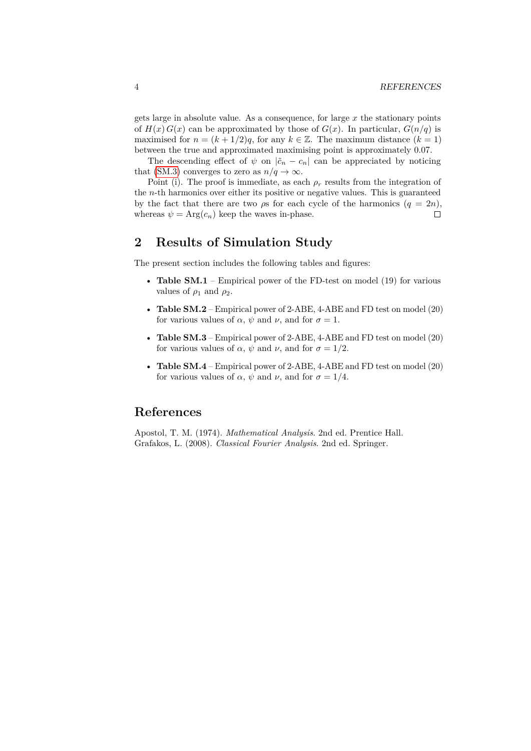gets large in absolute value. As a consequence, for large *x* the stationary points of  $H(x) G(x)$  can be approximated by those of  $G(x)$ . In particular,  $G(n/q)$  is maximised for  $n = (k + 1/2)q$ , for any  $k \in \mathbb{Z}$ . The maximum distance  $(k = 1)$ between the true and approximated maximising point is approximately 0*.*07.

The descending effect of  $\psi$  on  $|\tilde{c}_n - c_n|$  can be appreciated by noticing that [\(SM.3\)](#page-2-0) converges to zero as  $n/q \to \infty$ .

Point (i). The proof is immediate, as each  $\rho_r$  results from the integration of the *n*-th harmonics over either its positive or negative values. This is guaranteed by the fact that there are two  $\rho s$  for each cycle of the harmonics  $(q = 2n)$ , whereas  $\psi = \text{Arg}(c_n)$  keep the waves in-phase.  $\Box$ 

## **2 Results of Simulation Study**

The present section includes the following tables and figures:

- **Table SM.1** Empirical power of the FD-test on model (19) for various values of  $\rho_1$  and  $\rho_2$ .
- **Table SM.2** Empirical power of 2-ABE, 4-ABE and FD test on model (20) for various values of  $\alpha$ ,  $\psi$  and  $\nu$ , and for  $\sigma = 1$ .
- **Table SM.3** Empirical power of 2-ABE, 4-ABE and FD test on model (20) for various values of  $\alpha$ ,  $\psi$  and  $\nu$ , and for  $\sigma = 1/2$ .
- **Table SM.4** Empirical power of 2-ABE, 4-ABE and FD test on model (20) for various values of  $\alpha$ ,  $\psi$  and  $\nu$ , and for  $\sigma = 1/4$ .

## **References**

<span id="page-3-1"></span><span id="page-3-0"></span>Apostol, T. M. (1974). *Mathematical Analysis*. 2nd ed. Prentice Hall. Grafakos, L. (2008). *Classical Fourier Analysis*. 2nd ed. Springer.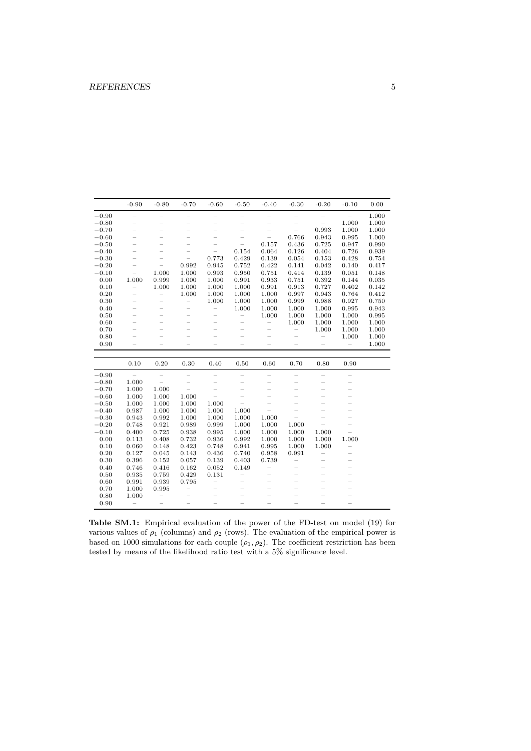| $-0.90$<br>$-0.60$<br>$-0.80$<br>$-0.70$<br>$-0.50$<br>$-0.40$<br>$-0.30$<br>$-0.20$<br>$-0.10$<br>0.00<br>$-0.90$<br>$\overline{\phantom{0}}$<br>1.000<br>$\qquad \qquad -$<br>$\qquad \qquad -$<br>$\overline{\phantom{0}}$<br>$\overline{\phantom{0}}$<br>$\overline{\phantom{0}}$<br>$\overline{\phantom{0}}$<br>1.000<br>1.000<br>$-0.80$<br>$\overline{\phantom{0}}$<br>$\overline{\phantom{0}}$<br>$\overline{\phantom{0}}$<br>$\overline{\phantom{0}}$<br>$\overline{\phantom{0}}$<br>$\overline{\phantom{0}}$<br>0.993<br>1.000<br>$-0.70$<br>1.000<br>$\overline{\phantom{0}}$<br>0.943<br>$-0.60$<br>0.766<br>0.995<br>1.000<br>$\qquad \qquad -$<br>$\overline{\phantom{0}}$<br>-<br>0.157<br>0.725<br>$-0.50$<br>0.436<br>0.947<br>0.990<br>$\overline{\phantom{0}}$<br>$\overline{\phantom{0}}$<br>0.154<br>0.064<br>0.404<br>0.726<br>0.939<br>$-0.40$<br>0.126<br>$-0.30$<br>0.773<br>0.429<br>0.139<br>0.054<br>0.153<br>0.428<br>0.754<br>$\overline{\phantom{0}}$<br>0.422<br>$-0.20$<br>0.992<br>0.752<br>0.141<br>0.042<br>0.140<br>0.417<br>0.945<br>$\overline{\phantom{0}}$<br>1.000<br>0.751<br>0.139<br>$-0.10$<br>1.000<br>0.993<br>0.950<br>0.414<br>0.051<br>0.148<br>1.000<br>0.392<br>0.00<br>1.000<br>0.999<br>1.000<br>0.991<br>0.933<br>0.144<br>0.035<br>0.751<br>0.727<br>0.10<br>1.000<br>1.000<br>0.991<br>1.000<br>1.000<br>0.913<br>0.402<br>0.142<br>$\overline{\phantom{0}}$<br>0.20<br>1.000<br>1.000<br>0.943<br>1.000<br>1.000<br>0.997<br>0.764<br>0.412<br>$\qquad \qquad -$<br>$\overline{\phantom{0}}$<br>1.000<br>0.988<br>0.30<br>1.000<br>0.927<br>0.750<br>1.000<br>0.999<br>$\overline{\phantom{0}}$<br>1.000<br>0.40<br>1.000<br>1.000<br>1.000<br>0.995<br>0.943<br>$\overline{\phantom{0}}$<br>$\overline{\phantom{a}}$<br>-<br>0.50<br>1.000<br>1.000<br>1.000<br>0.995<br>$\qquad \qquad -$<br>1.000<br>$\overline{\phantom{0}}$<br>1.000<br>0.60<br>1.000<br>1.000<br>1.000<br>$\qquad \qquad -$<br>$\overline{\phantom{0}}$<br>0.70<br>1.000<br>1.000<br>1.000<br>$\overline{\phantom{0}}$<br>$\overline{\phantom{0}}$<br>$\overline{\phantom{0}}$<br>0.80<br>1.000<br>1.000<br>$\overline{\phantom{0}}$<br>0.90<br>$\qquad \qquad -$<br>1.000<br>$\overline{a}$<br>$\overline{\phantom{0}}$<br>$\overline{\phantom{0}}$<br>$\overline{a}$<br>$\overline{\phantom{0}}$<br>$\overline{\phantom{a}}$<br>$\overline{\phantom{a}}$<br>0.20<br>0.10<br>0.30<br>0.40<br>0.50<br>0.60<br>0.70<br>0.80<br>0.90<br>$\overline{\phantom{a}}$<br>$-0.90$<br>$\overline{\phantom{0}}$<br>$\overline{\phantom{0}}$<br>$\overline{\phantom{0}}$<br>$\overline{\phantom{0}}$<br>$\overline{a}$<br>1.000<br>$-0.80$<br>$\overline{\phantom{0}}$<br>$\overline{\phantom{0}}$<br>1.000<br>$-0.70$<br>1.000<br>$\overline{\phantom{0}}$<br>$\overline{\phantom{0}}$<br>$\overline{\phantom{0}}$<br>1.000<br>$-0.60$<br>1.000<br>1.000<br>$-0.50$<br>1.000<br>1.000<br>1.000<br>1.000<br>$\overline{\phantom{0}}$<br>0.987<br>1.000<br>$-0.40$<br>1.000<br>1.000<br>1.000<br>0.943<br>1.000<br>1.000<br>$-0.30$<br>0.992<br>1.000<br>1.000<br>$-0.20$<br>0.748<br>0.989<br>0.999<br>1.000<br>1.000<br>1.000<br>0.921<br>$-0.10$<br>0.400<br>0.725<br>0.938<br>0.995<br>1.000<br>1.000<br>1.000<br>1.000<br>0.00<br>0.113<br>0.408<br>0.732<br>0.936<br>0.992<br>1.000<br>1.000<br>1.000<br>1.000<br>0.423<br>0.10<br>0.060<br>0.748<br>0.941<br>0.995<br>0.148<br>1.000<br>1.000<br>0.20<br>0.127<br>0.143<br>0.436<br>0.740<br>0.958<br>0.991<br>0.045<br>0.30<br>0.396<br>0.057<br>0.403<br>0.739<br>0.152<br>0.139<br>$\overline{\phantom{0}}$<br>$\overline{\phantom{0}}$<br>0.40<br>0.746<br>0.162<br>0.416<br>0.052<br>0.149<br>$\overline{a}$<br>$\overline{\phantom{0}}$<br>0.935<br>0.429<br>0.50<br>0.759<br>0.131<br>$\overline{\phantom{0}}$<br>0.991<br>0.60<br>0.939<br>0.795<br>$\overline{\phantom{0}}$<br>0.70<br>1.000<br>0.995<br>$\qquad \qquad -$<br>0.80<br>1.000<br>$\qquad \qquad -$<br>0.90<br>$\overline{\phantom{0}}$ |  |  |  |  |  |  |
|-------------------------------------------------------------------------------------------------------------------------------------------------------------------------------------------------------------------------------------------------------------------------------------------------------------------------------------------------------------------------------------------------------------------------------------------------------------------------------------------------------------------------------------------------------------------------------------------------------------------------------------------------------------------------------------------------------------------------------------------------------------------------------------------------------------------------------------------------------------------------------------------------------------------------------------------------------------------------------------------------------------------------------------------------------------------------------------------------------------------------------------------------------------------------------------------------------------------------------------------------------------------------------------------------------------------------------------------------------------------------------------------------------------------------------------------------------------------------------------------------------------------------------------------------------------------------------------------------------------------------------------------------------------------------------------------------------------------------------------------------------------------------------------------------------------------------------------------------------------------------------------------------------------------------------------------------------------------------------------------------------------------------------------------------------------------------------------------------------------------------------------------------------------------------------------------------------------------------------------------------------------------------------------------------------------------------------------------------------------------------------------------------------------------------------------------------------------------------------------------------------------------------------------------------------------------------------------------------------------------------------------------------------------------------------------------------------------------------------------------------------------------------------------------------------------------------------------------------------------------------------------------------------------------------------------------------------------------------------------------------------------------------------------------------------------------------------------------------------------------------------------------------------------------------------------------------------------------------------------------------------------------------------------------------------------------------------------------------------------------------------------------------------------------------------------------------------------------------------------------------------------------------------------------------------------------------------------------------------------------------------------------------------------------------------------------------------------------------------------------------------------------------------------------------------------------------------------------------------------------------------------------------------------------------------------------------------------------------------------------|--|--|--|--|--|--|
|                                                                                                                                                                                                                                                                                                                                                                                                                                                                                                                                                                                                                                                                                                                                                                                                                                                                                                                                                                                                                                                                                                                                                                                                                                                                                                                                                                                                                                                                                                                                                                                                                                                                                                                                                                                                                                                                                                                                                                                                                                                                                                                                                                                                                                                                                                                                                                                                                                                                                                                                                                                                                                                                                                                                                                                                                                                                                                                                                                                                                                                                                                                                                                                                                                                                                                                                                                                                                                                                                                                                                                                                                                                                                                                                                                                                                                                                                                                                                                                           |  |  |  |  |  |  |
|                                                                                                                                                                                                                                                                                                                                                                                                                                                                                                                                                                                                                                                                                                                                                                                                                                                                                                                                                                                                                                                                                                                                                                                                                                                                                                                                                                                                                                                                                                                                                                                                                                                                                                                                                                                                                                                                                                                                                                                                                                                                                                                                                                                                                                                                                                                                                                                                                                                                                                                                                                                                                                                                                                                                                                                                                                                                                                                                                                                                                                                                                                                                                                                                                                                                                                                                                                                                                                                                                                                                                                                                                                                                                                                                                                                                                                                                                                                                                                                           |  |  |  |  |  |  |
|                                                                                                                                                                                                                                                                                                                                                                                                                                                                                                                                                                                                                                                                                                                                                                                                                                                                                                                                                                                                                                                                                                                                                                                                                                                                                                                                                                                                                                                                                                                                                                                                                                                                                                                                                                                                                                                                                                                                                                                                                                                                                                                                                                                                                                                                                                                                                                                                                                                                                                                                                                                                                                                                                                                                                                                                                                                                                                                                                                                                                                                                                                                                                                                                                                                                                                                                                                                                                                                                                                                                                                                                                                                                                                                                                                                                                                                                                                                                                                                           |  |  |  |  |  |  |
|                                                                                                                                                                                                                                                                                                                                                                                                                                                                                                                                                                                                                                                                                                                                                                                                                                                                                                                                                                                                                                                                                                                                                                                                                                                                                                                                                                                                                                                                                                                                                                                                                                                                                                                                                                                                                                                                                                                                                                                                                                                                                                                                                                                                                                                                                                                                                                                                                                                                                                                                                                                                                                                                                                                                                                                                                                                                                                                                                                                                                                                                                                                                                                                                                                                                                                                                                                                                                                                                                                                                                                                                                                                                                                                                                                                                                                                                                                                                                                                           |  |  |  |  |  |  |
|                                                                                                                                                                                                                                                                                                                                                                                                                                                                                                                                                                                                                                                                                                                                                                                                                                                                                                                                                                                                                                                                                                                                                                                                                                                                                                                                                                                                                                                                                                                                                                                                                                                                                                                                                                                                                                                                                                                                                                                                                                                                                                                                                                                                                                                                                                                                                                                                                                                                                                                                                                                                                                                                                                                                                                                                                                                                                                                                                                                                                                                                                                                                                                                                                                                                                                                                                                                                                                                                                                                                                                                                                                                                                                                                                                                                                                                                                                                                                                                           |  |  |  |  |  |  |
|                                                                                                                                                                                                                                                                                                                                                                                                                                                                                                                                                                                                                                                                                                                                                                                                                                                                                                                                                                                                                                                                                                                                                                                                                                                                                                                                                                                                                                                                                                                                                                                                                                                                                                                                                                                                                                                                                                                                                                                                                                                                                                                                                                                                                                                                                                                                                                                                                                                                                                                                                                                                                                                                                                                                                                                                                                                                                                                                                                                                                                                                                                                                                                                                                                                                                                                                                                                                                                                                                                                                                                                                                                                                                                                                                                                                                                                                                                                                                                                           |  |  |  |  |  |  |
|                                                                                                                                                                                                                                                                                                                                                                                                                                                                                                                                                                                                                                                                                                                                                                                                                                                                                                                                                                                                                                                                                                                                                                                                                                                                                                                                                                                                                                                                                                                                                                                                                                                                                                                                                                                                                                                                                                                                                                                                                                                                                                                                                                                                                                                                                                                                                                                                                                                                                                                                                                                                                                                                                                                                                                                                                                                                                                                                                                                                                                                                                                                                                                                                                                                                                                                                                                                                                                                                                                                                                                                                                                                                                                                                                                                                                                                                                                                                                                                           |  |  |  |  |  |  |
|                                                                                                                                                                                                                                                                                                                                                                                                                                                                                                                                                                                                                                                                                                                                                                                                                                                                                                                                                                                                                                                                                                                                                                                                                                                                                                                                                                                                                                                                                                                                                                                                                                                                                                                                                                                                                                                                                                                                                                                                                                                                                                                                                                                                                                                                                                                                                                                                                                                                                                                                                                                                                                                                                                                                                                                                                                                                                                                                                                                                                                                                                                                                                                                                                                                                                                                                                                                                                                                                                                                                                                                                                                                                                                                                                                                                                                                                                                                                                                                           |  |  |  |  |  |  |
|                                                                                                                                                                                                                                                                                                                                                                                                                                                                                                                                                                                                                                                                                                                                                                                                                                                                                                                                                                                                                                                                                                                                                                                                                                                                                                                                                                                                                                                                                                                                                                                                                                                                                                                                                                                                                                                                                                                                                                                                                                                                                                                                                                                                                                                                                                                                                                                                                                                                                                                                                                                                                                                                                                                                                                                                                                                                                                                                                                                                                                                                                                                                                                                                                                                                                                                                                                                                                                                                                                                                                                                                                                                                                                                                                                                                                                                                                                                                                                                           |  |  |  |  |  |  |
|                                                                                                                                                                                                                                                                                                                                                                                                                                                                                                                                                                                                                                                                                                                                                                                                                                                                                                                                                                                                                                                                                                                                                                                                                                                                                                                                                                                                                                                                                                                                                                                                                                                                                                                                                                                                                                                                                                                                                                                                                                                                                                                                                                                                                                                                                                                                                                                                                                                                                                                                                                                                                                                                                                                                                                                                                                                                                                                                                                                                                                                                                                                                                                                                                                                                                                                                                                                                                                                                                                                                                                                                                                                                                                                                                                                                                                                                                                                                                                                           |  |  |  |  |  |  |
|                                                                                                                                                                                                                                                                                                                                                                                                                                                                                                                                                                                                                                                                                                                                                                                                                                                                                                                                                                                                                                                                                                                                                                                                                                                                                                                                                                                                                                                                                                                                                                                                                                                                                                                                                                                                                                                                                                                                                                                                                                                                                                                                                                                                                                                                                                                                                                                                                                                                                                                                                                                                                                                                                                                                                                                                                                                                                                                                                                                                                                                                                                                                                                                                                                                                                                                                                                                                                                                                                                                                                                                                                                                                                                                                                                                                                                                                                                                                                                                           |  |  |  |  |  |  |
|                                                                                                                                                                                                                                                                                                                                                                                                                                                                                                                                                                                                                                                                                                                                                                                                                                                                                                                                                                                                                                                                                                                                                                                                                                                                                                                                                                                                                                                                                                                                                                                                                                                                                                                                                                                                                                                                                                                                                                                                                                                                                                                                                                                                                                                                                                                                                                                                                                                                                                                                                                                                                                                                                                                                                                                                                                                                                                                                                                                                                                                                                                                                                                                                                                                                                                                                                                                                                                                                                                                                                                                                                                                                                                                                                                                                                                                                                                                                                                                           |  |  |  |  |  |  |
|                                                                                                                                                                                                                                                                                                                                                                                                                                                                                                                                                                                                                                                                                                                                                                                                                                                                                                                                                                                                                                                                                                                                                                                                                                                                                                                                                                                                                                                                                                                                                                                                                                                                                                                                                                                                                                                                                                                                                                                                                                                                                                                                                                                                                                                                                                                                                                                                                                                                                                                                                                                                                                                                                                                                                                                                                                                                                                                                                                                                                                                                                                                                                                                                                                                                                                                                                                                                                                                                                                                                                                                                                                                                                                                                                                                                                                                                                                                                                                                           |  |  |  |  |  |  |
|                                                                                                                                                                                                                                                                                                                                                                                                                                                                                                                                                                                                                                                                                                                                                                                                                                                                                                                                                                                                                                                                                                                                                                                                                                                                                                                                                                                                                                                                                                                                                                                                                                                                                                                                                                                                                                                                                                                                                                                                                                                                                                                                                                                                                                                                                                                                                                                                                                                                                                                                                                                                                                                                                                                                                                                                                                                                                                                                                                                                                                                                                                                                                                                                                                                                                                                                                                                                                                                                                                                                                                                                                                                                                                                                                                                                                                                                                                                                                                                           |  |  |  |  |  |  |
|                                                                                                                                                                                                                                                                                                                                                                                                                                                                                                                                                                                                                                                                                                                                                                                                                                                                                                                                                                                                                                                                                                                                                                                                                                                                                                                                                                                                                                                                                                                                                                                                                                                                                                                                                                                                                                                                                                                                                                                                                                                                                                                                                                                                                                                                                                                                                                                                                                                                                                                                                                                                                                                                                                                                                                                                                                                                                                                                                                                                                                                                                                                                                                                                                                                                                                                                                                                                                                                                                                                                                                                                                                                                                                                                                                                                                                                                                                                                                                                           |  |  |  |  |  |  |
|                                                                                                                                                                                                                                                                                                                                                                                                                                                                                                                                                                                                                                                                                                                                                                                                                                                                                                                                                                                                                                                                                                                                                                                                                                                                                                                                                                                                                                                                                                                                                                                                                                                                                                                                                                                                                                                                                                                                                                                                                                                                                                                                                                                                                                                                                                                                                                                                                                                                                                                                                                                                                                                                                                                                                                                                                                                                                                                                                                                                                                                                                                                                                                                                                                                                                                                                                                                                                                                                                                                                                                                                                                                                                                                                                                                                                                                                                                                                                                                           |  |  |  |  |  |  |
|                                                                                                                                                                                                                                                                                                                                                                                                                                                                                                                                                                                                                                                                                                                                                                                                                                                                                                                                                                                                                                                                                                                                                                                                                                                                                                                                                                                                                                                                                                                                                                                                                                                                                                                                                                                                                                                                                                                                                                                                                                                                                                                                                                                                                                                                                                                                                                                                                                                                                                                                                                                                                                                                                                                                                                                                                                                                                                                                                                                                                                                                                                                                                                                                                                                                                                                                                                                                                                                                                                                                                                                                                                                                                                                                                                                                                                                                                                                                                                                           |  |  |  |  |  |  |
|                                                                                                                                                                                                                                                                                                                                                                                                                                                                                                                                                                                                                                                                                                                                                                                                                                                                                                                                                                                                                                                                                                                                                                                                                                                                                                                                                                                                                                                                                                                                                                                                                                                                                                                                                                                                                                                                                                                                                                                                                                                                                                                                                                                                                                                                                                                                                                                                                                                                                                                                                                                                                                                                                                                                                                                                                                                                                                                                                                                                                                                                                                                                                                                                                                                                                                                                                                                                                                                                                                                                                                                                                                                                                                                                                                                                                                                                                                                                                                                           |  |  |  |  |  |  |
|                                                                                                                                                                                                                                                                                                                                                                                                                                                                                                                                                                                                                                                                                                                                                                                                                                                                                                                                                                                                                                                                                                                                                                                                                                                                                                                                                                                                                                                                                                                                                                                                                                                                                                                                                                                                                                                                                                                                                                                                                                                                                                                                                                                                                                                                                                                                                                                                                                                                                                                                                                                                                                                                                                                                                                                                                                                                                                                                                                                                                                                                                                                                                                                                                                                                                                                                                                                                                                                                                                                                                                                                                                                                                                                                                                                                                                                                                                                                                                                           |  |  |  |  |  |  |
|                                                                                                                                                                                                                                                                                                                                                                                                                                                                                                                                                                                                                                                                                                                                                                                                                                                                                                                                                                                                                                                                                                                                                                                                                                                                                                                                                                                                                                                                                                                                                                                                                                                                                                                                                                                                                                                                                                                                                                                                                                                                                                                                                                                                                                                                                                                                                                                                                                                                                                                                                                                                                                                                                                                                                                                                                                                                                                                                                                                                                                                                                                                                                                                                                                                                                                                                                                                                                                                                                                                                                                                                                                                                                                                                                                                                                                                                                                                                                                                           |  |  |  |  |  |  |
|                                                                                                                                                                                                                                                                                                                                                                                                                                                                                                                                                                                                                                                                                                                                                                                                                                                                                                                                                                                                                                                                                                                                                                                                                                                                                                                                                                                                                                                                                                                                                                                                                                                                                                                                                                                                                                                                                                                                                                                                                                                                                                                                                                                                                                                                                                                                                                                                                                                                                                                                                                                                                                                                                                                                                                                                                                                                                                                                                                                                                                                                                                                                                                                                                                                                                                                                                                                                                                                                                                                                                                                                                                                                                                                                                                                                                                                                                                                                                                                           |  |  |  |  |  |  |
|                                                                                                                                                                                                                                                                                                                                                                                                                                                                                                                                                                                                                                                                                                                                                                                                                                                                                                                                                                                                                                                                                                                                                                                                                                                                                                                                                                                                                                                                                                                                                                                                                                                                                                                                                                                                                                                                                                                                                                                                                                                                                                                                                                                                                                                                                                                                                                                                                                                                                                                                                                                                                                                                                                                                                                                                                                                                                                                                                                                                                                                                                                                                                                                                                                                                                                                                                                                                                                                                                                                                                                                                                                                                                                                                                                                                                                                                                                                                                                                           |  |  |  |  |  |  |
|                                                                                                                                                                                                                                                                                                                                                                                                                                                                                                                                                                                                                                                                                                                                                                                                                                                                                                                                                                                                                                                                                                                                                                                                                                                                                                                                                                                                                                                                                                                                                                                                                                                                                                                                                                                                                                                                                                                                                                                                                                                                                                                                                                                                                                                                                                                                                                                                                                                                                                                                                                                                                                                                                                                                                                                                                                                                                                                                                                                                                                                                                                                                                                                                                                                                                                                                                                                                                                                                                                                                                                                                                                                                                                                                                                                                                                                                                                                                                                                           |  |  |  |  |  |  |
|                                                                                                                                                                                                                                                                                                                                                                                                                                                                                                                                                                                                                                                                                                                                                                                                                                                                                                                                                                                                                                                                                                                                                                                                                                                                                                                                                                                                                                                                                                                                                                                                                                                                                                                                                                                                                                                                                                                                                                                                                                                                                                                                                                                                                                                                                                                                                                                                                                                                                                                                                                                                                                                                                                                                                                                                                                                                                                                                                                                                                                                                                                                                                                                                                                                                                                                                                                                                                                                                                                                                                                                                                                                                                                                                                                                                                                                                                                                                                                                           |  |  |  |  |  |  |
|                                                                                                                                                                                                                                                                                                                                                                                                                                                                                                                                                                                                                                                                                                                                                                                                                                                                                                                                                                                                                                                                                                                                                                                                                                                                                                                                                                                                                                                                                                                                                                                                                                                                                                                                                                                                                                                                                                                                                                                                                                                                                                                                                                                                                                                                                                                                                                                                                                                                                                                                                                                                                                                                                                                                                                                                                                                                                                                                                                                                                                                                                                                                                                                                                                                                                                                                                                                                                                                                                                                                                                                                                                                                                                                                                                                                                                                                                                                                                                                           |  |  |  |  |  |  |
|                                                                                                                                                                                                                                                                                                                                                                                                                                                                                                                                                                                                                                                                                                                                                                                                                                                                                                                                                                                                                                                                                                                                                                                                                                                                                                                                                                                                                                                                                                                                                                                                                                                                                                                                                                                                                                                                                                                                                                                                                                                                                                                                                                                                                                                                                                                                                                                                                                                                                                                                                                                                                                                                                                                                                                                                                                                                                                                                                                                                                                                                                                                                                                                                                                                                                                                                                                                                                                                                                                                                                                                                                                                                                                                                                                                                                                                                                                                                                                                           |  |  |  |  |  |  |
|                                                                                                                                                                                                                                                                                                                                                                                                                                                                                                                                                                                                                                                                                                                                                                                                                                                                                                                                                                                                                                                                                                                                                                                                                                                                                                                                                                                                                                                                                                                                                                                                                                                                                                                                                                                                                                                                                                                                                                                                                                                                                                                                                                                                                                                                                                                                                                                                                                                                                                                                                                                                                                                                                                                                                                                                                                                                                                                                                                                                                                                                                                                                                                                                                                                                                                                                                                                                                                                                                                                                                                                                                                                                                                                                                                                                                                                                                                                                                                                           |  |  |  |  |  |  |
|                                                                                                                                                                                                                                                                                                                                                                                                                                                                                                                                                                                                                                                                                                                                                                                                                                                                                                                                                                                                                                                                                                                                                                                                                                                                                                                                                                                                                                                                                                                                                                                                                                                                                                                                                                                                                                                                                                                                                                                                                                                                                                                                                                                                                                                                                                                                                                                                                                                                                                                                                                                                                                                                                                                                                                                                                                                                                                                                                                                                                                                                                                                                                                                                                                                                                                                                                                                                                                                                                                                                                                                                                                                                                                                                                                                                                                                                                                                                                                                           |  |  |  |  |  |  |
|                                                                                                                                                                                                                                                                                                                                                                                                                                                                                                                                                                                                                                                                                                                                                                                                                                                                                                                                                                                                                                                                                                                                                                                                                                                                                                                                                                                                                                                                                                                                                                                                                                                                                                                                                                                                                                                                                                                                                                                                                                                                                                                                                                                                                                                                                                                                                                                                                                                                                                                                                                                                                                                                                                                                                                                                                                                                                                                                                                                                                                                                                                                                                                                                                                                                                                                                                                                                                                                                                                                                                                                                                                                                                                                                                                                                                                                                                                                                                                                           |  |  |  |  |  |  |
|                                                                                                                                                                                                                                                                                                                                                                                                                                                                                                                                                                                                                                                                                                                                                                                                                                                                                                                                                                                                                                                                                                                                                                                                                                                                                                                                                                                                                                                                                                                                                                                                                                                                                                                                                                                                                                                                                                                                                                                                                                                                                                                                                                                                                                                                                                                                                                                                                                                                                                                                                                                                                                                                                                                                                                                                                                                                                                                                                                                                                                                                                                                                                                                                                                                                                                                                                                                                                                                                                                                                                                                                                                                                                                                                                                                                                                                                                                                                                                                           |  |  |  |  |  |  |
|                                                                                                                                                                                                                                                                                                                                                                                                                                                                                                                                                                                                                                                                                                                                                                                                                                                                                                                                                                                                                                                                                                                                                                                                                                                                                                                                                                                                                                                                                                                                                                                                                                                                                                                                                                                                                                                                                                                                                                                                                                                                                                                                                                                                                                                                                                                                                                                                                                                                                                                                                                                                                                                                                                                                                                                                                                                                                                                                                                                                                                                                                                                                                                                                                                                                                                                                                                                                                                                                                                                                                                                                                                                                                                                                                                                                                                                                                                                                                                                           |  |  |  |  |  |  |
|                                                                                                                                                                                                                                                                                                                                                                                                                                                                                                                                                                                                                                                                                                                                                                                                                                                                                                                                                                                                                                                                                                                                                                                                                                                                                                                                                                                                                                                                                                                                                                                                                                                                                                                                                                                                                                                                                                                                                                                                                                                                                                                                                                                                                                                                                                                                                                                                                                                                                                                                                                                                                                                                                                                                                                                                                                                                                                                                                                                                                                                                                                                                                                                                                                                                                                                                                                                                                                                                                                                                                                                                                                                                                                                                                                                                                                                                                                                                                                                           |  |  |  |  |  |  |
|                                                                                                                                                                                                                                                                                                                                                                                                                                                                                                                                                                                                                                                                                                                                                                                                                                                                                                                                                                                                                                                                                                                                                                                                                                                                                                                                                                                                                                                                                                                                                                                                                                                                                                                                                                                                                                                                                                                                                                                                                                                                                                                                                                                                                                                                                                                                                                                                                                                                                                                                                                                                                                                                                                                                                                                                                                                                                                                                                                                                                                                                                                                                                                                                                                                                                                                                                                                                                                                                                                                                                                                                                                                                                                                                                                                                                                                                                                                                                                                           |  |  |  |  |  |  |
|                                                                                                                                                                                                                                                                                                                                                                                                                                                                                                                                                                                                                                                                                                                                                                                                                                                                                                                                                                                                                                                                                                                                                                                                                                                                                                                                                                                                                                                                                                                                                                                                                                                                                                                                                                                                                                                                                                                                                                                                                                                                                                                                                                                                                                                                                                                                                                                                                                                                                                                                                                                                                                                                                                                                                                                                                                                                                                                                                                                                                                                                                                                                                                                                                                                                                                                                                                                                                                                                                                                                                                                                                                                                                                                                                                                                                                                                                                                                                                                           |  |  |  |  |  |  |
|                                                                                                                                                                                                                                                                                                                                                                                                                                                                                                                                                                                                                                                                                                                                                                                                                                                                                                                                                                                                                                                                                                                                                                                                                                                                                                                                                                                                                                                                                                                                                                                                                                                                                                                                                                                                                                                                                                                                                                                                                                                                                                                                                                                                                                                                                                                                                                                                                                                                                                                                                                                                                                                                                                                                                                                                                                                                                                                                                                                                                                                                                                                                                                                                                                                                                                                                                                                                                                                                                                                                                                                                                                                                                                                                                                                                                                                                                                                                                                                           |  |  |  |  |  |  |
|                                                                                                                                                                                                                                                                                                                                                                                                                                                                                                                                                                                                                                                                                                                                                                                                                                                                                                                                                                                                                                                                                                                                                                                                                                                                                                                                                                                                                                                                                                                                                                                                                                                                                                                                                                                                                                                                                                                                                                                                                                                                                                                                                                                                                                                                                                                                                                                                                                                                                                                                                                                                                                                                                                                                                                                                                                                                                                                                                                                                                                                                                                                                                                                                                                                                                                                                                                                                                                                                                                                                                                                                                                                                                                                                                                                                                                                                                                                                                                                           |  |  |  |  |  |  |
|                                                                                                                                                                                                                                                                                                                                                                                                                                                                                                                                                                                                                                                                                                                                                                                                                                                                                                                                                                                                                                                                                                                                                                                                                                                                                                                                                                                                                                                                                                                                                                                                                                                                                                                                                                                                                                                                                                                                                                                                                                                                                                                                                                                                                                                                                                                                                                                                                                                                                                                                                                                                                                                                                                                                                                                                                                                                                                                                                                                                                                                                                                                                                                                                                                                                                                                                                                                                                                                                                                                                                                                                                                                                                                                                                                                                                                                                                                                                                                                           |  |  |  |  |  |  |
|                                                                                                                                                                                                                                                                                                                                                                                                                                                                                                                                                                                                                                                                                                                                                                                                                                                                                                                                                                                                                                                                                                                                                                                                                                                                                                                                                                                                                                                                                                                                                                                                                                                                                                                                                                                                                                                                                                                                                                                                                                                                                                                                                                                                                                                                                                                                                                                                                                                                                                                                                                                                                                                                                                                                                                                                                                                                                                                                                                                                                                                                                                                                                                                                                                                                                                                                                                                                                                                                                                                                                                                                                                                                                                                                                                                                                                                                                                                                                                                           |  |  |  |  |  |  |
|                                                                                                                                                                                                                                                                                                                                                                                                                                                                                                                                                                                                                                                                                                                                                                                                                                                                                                                                                                                                                                                                                                                                                                                                                                                                                                                                                                                                                                                                                                                                                                                                                                                                                                                                                                                                                                                                                                                                                                                                                                                                                                                                                                                                                                                                                                                                                                                                                                                                                                                                                                                                                                                                                                                                                                                                                                                                                                                                                                                                                                                                                                                                                                                                                                                                                                                                                                                                                                                                                                                                                                                                                                                                                                                                                                                                                                                                                                                                                                                           |  |  |  |  |  |  |
|                                                                                                                                                                                                                                                                                                                                                                                                                                                                                                                                                                                                                                                                                                                                                                                                                                                                                                                                                                                                                                                                                                                                                                                                                                                                                                                                                                                                                                                                                                                                                                                                                                                                                                                                                                                                                                                                                                                                                                                                                                                                                                                                                                                                                                                                                                                                                                                                                                                                                                                                                                                                                                                                                                                                                                                                                                                                                                                                                                                                                                                                                                                                                                                                                                                                                                                                                                                                                                                                                                                                                                                                                                                                                                                                                                                                                                                                                                                                                                                           |  |  |  |  |  |  |
|                                                                                                                                                                                                                                                                                                                                                                                                                                                                                                                                                                                                                                                                                                                                                                                                                                                                                                                                                                                                                                                                                                                                                                                                                                                                                                                                                                                                                                                                                                                                                                                                                                                                                                                                                                                                                                                                                                                                                                                                                                                                                                                                                                                                                                                                                                                                                                                                                                                                                                                                                                                                                                                                                                                                                                                                                                                                                                                                                                                                                                                                                                                                                                                                                                                                                                                                                                                                                                                                                                                                                                                                                                                                                                                                                                                                                                                                                                                                                                                           |  |  |  |  |  |  |

**Table SM.1:** Empirical evaluation of the power of the FD-test on model (19) for various values of  $\rho_1$  (columns) and  $\rho_2$  (rows). The evaluation of the empirical power is based on 1000 simulations for each couple  $(\rho_1, \rho_2)$ . The coefficient restriction has been tested by means of the likelihood ratio test with a 5% significance level.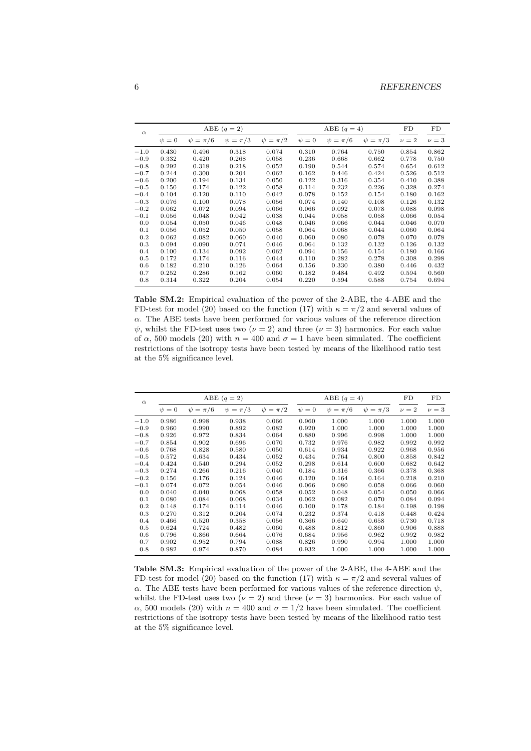| $\alpha$ |            |                | ABE $(q=2)$    |                |            | ABE $(q = 4)$  | FD             | FD        |         |
|----------|------------|----------------|----------------|----------------|------------|----------------|----------------|-----------|---------|
|          | $\psi = 0$ | $\psi = \pi/6$ | $\psi = \pi/3$ | $\psi = \pi/2$ | $\psi = 0$ | $\psi = \pi/6$ | $\psi = \pi/3$ | $\nu = 2$ | $\nu=3$ |
| $-1.0$   | 0.430      | 0.496          | 0.318          | 0.074          | 0.310      | 0.764          | 0.750          | 0.854     | 0.862   |
| $-0.9$   | 0.332      | 0.420          | 0.268          | 0.058          | 0.236      | 0.668          | 0.662          | 0.778     | 0.750   |
| $-0.8$   | 0.292      | 0.318          | 0.218          | 0.052          | 0.190      | 0.544          | 0.574          | 0.654     | 0.612   |
| $-0.7$   | 0.244      | 0.300          | 0.204          | 0.062          | 0.162      | 0.446          | 0.424          | 0.526     | 0.512   |
| $-0.6$   | 0.200      | 0.194          | 0.134          | 0.050          | 0.122      | 0.316          | 0.354          | 0.410     | 0.388   |
| $-0.5$   | 0.150      | 0.174          | 0.122          | 0.058          | 0.114      | 0.232          | 0.226          | 0.328     | 0.274   |
| $-0.4$   | 0.104      | 0.120          | 0.110          | 0.042          | 0.078      | 0.152          | 0.154          | 0.180     | 0.162   |
| $-0.3$   | 0.076      | 0.100          | 0.078          | 0.056          | 0.074      | 0.140          | 0.108          | 0.126     | 0.132   |
| $-0.2$   | 0.062      | 0.072          | 0.094          | 0.066          | 0.066      | 0.092          | 0.078          | 0.088     | 0.098   |
| $-0.1$   | 0.056      | 0.048          | 0.042          | 0.038          | 0.044      | 0.058          | 0.058          | 0.066     | 0.054   |
| 0.0      | 0.054      | 0.050          | 0.046          | 0.048          | 0.046      | 0.066          | 0.044          | 0.046     | 0.070   |
| 0.1      | 0.056      | 0.052          | 0.050          | 0.058          | 0.064      | 0.068          | 0.044          | 0.060     | 0.064   |
| 0.2      | 0.062      | 0.082          | 0.060          | 0.040          | 0.060      | 0.080          | 0.078          | 0.070     | 0.078   |
| 0.3      | 0.094      | 0.090          | 0.074          | 0.046          | 0.064      | 0.132          | 0.132          | 0.126     | 0.132   |
| 0.4      | 0.100      | 0.134          | 0.092          | 0.062          | 0.094      | 0.156          | 0.154          | 0.180     | 0.166   |
| 0.5      | 0.172      | 0.174          | 0.116          | 0.044          | 0.110      | 0.282          | 0.278          | 0.308     | 0.298   |
| 0.6      | 0.182      | 0.210          | 0.126          | 0.064          | 0.156      | 0.330          | 0.380          | 0.446     | 0.432   |
| 0.7      | 0.252      | 0.286          | 0.162          | 0.060          | 0.182      | 0.484          | 0.492          | 0.594     | 0.560   |
| 0.8      | 0.314      | 0.322          | 0.204          | 0.054          | 0.220      | 0.594          | 0.588          | 0.754     | 0.694   |

**Table SM.2:** Empirical evaluation of the power of the 2-ABE, the 4-ABE and the FD-test for model (20) based on the function (17) with  $\kappa = \pi/2$  and several values of *α*. The ABE tests have been performed for various values of the reference direction  $\psi$ , whilst the FD-test uses two ( $\nu = 2$ ) and three ( $\nu = 3$ ) harmonics. For each value of  $\alpha$ , 500 models (20) with  $n = 400$  and  $\sigma = 1$  have been simulated. The coefficient restrictions of the isotropy tests have been tested by means of the likelihood ratio test at the 5% significance level.

| $\alpha$ |            | ABE $(q=2)$    |                |                |            | ABE $(q = 4)$  | FD             | FD        |         |
|----------|------------|----------------|----------------|----------------|------------|----------------|----------------|-----------|---------|
|          | $\psi = 0$ | $\psi = \pi/6$ | $\psi = \pi/3$ | $\psi = \pi/2$ | $\psi = 0$ | $\psi = \pi/6$ | $\psi = \pi/3$ | $\nu = 2$ | $\nu=3$ |
| $-1.0$   | 0.986      | 0.998          | 0.938          | 0.066          | 0.960      | 1.000          | 1.000          | 1.000     | 1.000   |
| $-0.9$   | 0.960      | 0.990          | 0.892          | 0.082          | 0.920      | 1.000          | 1.000          | 1.000     | 1.000   |
| $-0.8$   | 0.926      | 0.972          | 0.834          | 0.064          | 0.880      | 0.996          | 0.998          | 1.000     | 1.000   |
| $-0.7$   | 0.854      | 0.902          | 0.696          | 0.070          | 0.732      | 0.976          | 0.982          | 0.992     | 0.992   |
| $-0.6$   | 0.768      | 0.828          | 0.580          | 0.050          | 0.614      | 0.934          | 0.922          | 0.968     | 0.956   |
| $-0.5$   | 0.572      | 0.634          | 0.434          | 0.052          | 0.434      | 0.764          | 0.800          | 0.858     | 0.842   |
| $-0.4$   | 0.424      | 0.540          | 0.294          | 0.052          | 0.298      | 0.614          | 0.600          | 0.682     | 0.642   |
| $-0.3$   | 0.274      | 0.266          | 0.216          | 0.040          | 0.184      | 0.316          | 0.366          | 0.378     | 0.368   |
| $-0.2$   | 0.156      | 0.176          | 0.124          | 0.046          | 0.120      | 0.164          | 0.164          | 0.218     | 0.210   |
| $-0.1$   | 0.074      | 0.072          | 0.054          | 0.046          | 0.066      | 0.080          | 0.058          | 0.066     | 0.060   |
| 0.0      | 0.040      | 0.040          | 0.068          | 0.058          | 0.052      | 0.048          | 0.054          | 0.050     | 0.066   |
| 0.1      | 0.080      | 0.084          | 0.068          | 0.034          | 0.062      | 0.082          | 0.070          | 0.084     | 0.094   |
| 0.2      | 0.148      | 0.174          | 0.114          | 0.046          | 0.100      | 0.178          | 0.184          | 0.198     | 0.198   |
| 0.3      | 0.270      | 0.312          | 0.204          | 0.074          | 0.232      | 0.374          | 0.418          | 0.448     | 0.424   |
| 0.4      | 0.466      | 0.520          | 0.358          | 0.056          | 0.366      | 0.640          | 0.658          | 0.730     | 0.718   |
| 0.5      | 0.624      | 0.724          | 0.482          | 0.060          | 0.488      | 0.812          | 0.860          | 0.906     | 0.888   |
| 0.6      | 0.796      | 0.866          | 0.664          | 0.076          | 0.684      | 0.956          | 0.962          | 0.992     | 0.982   |
| 0.7      | 0.902      | 0.952          | 0.794          | 0.088          | 0.826      | 0.990          | 0.994          | 1.000     | 1.000   |
| 0.8      | 0.982      | 0.974          | 0.870          | 0.084          | 0.932      | 1.000          | 1.000          | 1.000     | 1.000   |

**Table SM.3:** Empirical evaluation of the power of the 2-ABE, the 4-ABE and the FD-test for model (20) based on the function (17) with  $\kappa = \pi/2$  and several values of *α*. The ABE tests have been performed for various values of the reference direction *ψ*, whilst the FD-test uses two ( $\nu = 2$ ) and three ( $\nu = 3$ ) harmonics. For each value of *α*, 500 models (20) with  $n = 400$  and  $\sigma = 1/2$  have been simulated. The coefficient restrictions of the isotropy tests have been tested by means of the likelihood ratio test at the 5% significance level.